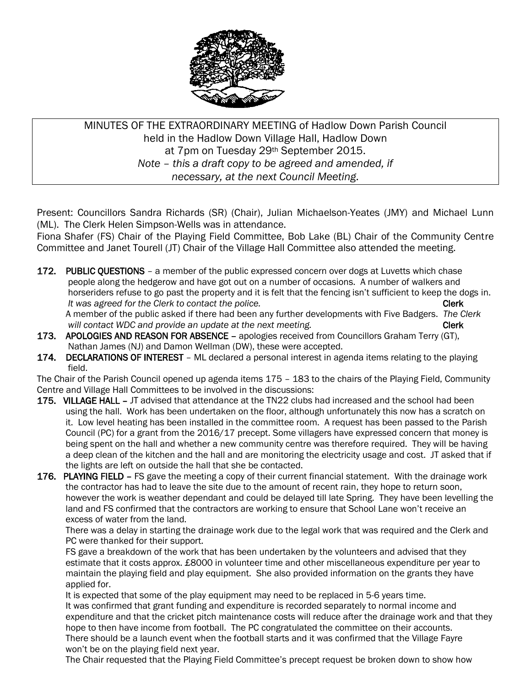

MINUTES OF THE EXTRAORDINARY MEETING of Hadlow Down Parish Council held in the Hadlow Down Village Hall, Hadlow Down at 7pm on Tuesday 29th September 2015. *Note – this a draft copy to be agreed and amended, if necessary, at the next Council Meeting.*

Present: Councillors Sandra Richards (SR) (Chair), Julian Michaelson-Yeates (JMY) and Michael Lunn (ML). The Clerk Helen Simpson-Wells was in attendance.

Fiona Shafer (FS) Chair of the Playing Field Committee, Bob Lake (BL) Chair of the Community Centre Committee and Janet Tourell (JT) Chair of the Village Hall Committee also attended the meeting.

172. PUBLIC QUESTIONS – a member of the public expressed concern over dogs at Luvetts which chase people along the hedgerow and have got out on a number of occasions. A number of walkers and horseriders refuse to go past the property and it is felt that the fencing isn't sufficient to keep the dogs in. *It was agreed for the Clerk to contact the police.* The contact of the police of the clerk clerk

 A member of the public asked if there had been any further developments with Five Badgers. *The Clerk will contact WDC and provide an update at the next meeting.* The next meeting of the next of the next meeting.

- 173. APOLOGIES AND REASON FOR ABSENCE apologies received from Councillors Graham Terry (GT). Nathan James (NJ) and Damon Wellman (DW), these were accepted.
- 174. DECLARATIONS OF INTEREST ML declared a personal interest in agenda items relating to the playing field.

The Chair of the Parish Council opened up agenda items 175 – 183 to the chairs of the Playing Field, Community Centre and Village Hall Committees to be involved in the discussions:

- 175. VILLAGE HALL JT advised that attendance at the TN22 clubs had increased and the school had been using the hall. Work has been undertaken on the floor, although unfortunately this now has a scratch on it. Low level heating has been installed in the committee room. A request has been passed to the Parish Council (PC) for a grant from the 2016/17 precept. Some villagers have expressed concern that money is being spent on the hall and whether a new community centre was therefore required. They will be having a deep clean of the kitchen and the hall and are monitoring the electricity usage and cost. JT asked that if the lights are left on outside the hall that she be contacted.
- 176. PLAYING FIELD FS gave the meeting a copy of their current financial statement. With the drainage work the contractor has had to leave the site due to the amount of recent rain, they hope to return soon, however the work is weather dependant and could be delayed till late Spring. They have been levelling the land and FS confirmed that the contractors are working to ensure that School Lane won't receive an excess of water from the land.

 There was a delay in starting the drainage work due to the legal work that was required and the Clerk and PC were thanked for their support.

 FS gave a breakdown of the work that has been undertaken by the volunteers and advised that they estimate that it costs approx. £8000 in volunteer time and other miscellaneous expenditure per year to maintain the playing field and play equipment. She also provided information on the grants they have applied for.

 It is expected that some of the play equipment may need to be replaced in 5-6 years time. It was confirmed that grant funding and expenditure is recorded separately to normal income and expenditure and that the cricket pitch maintenance costs will reduce after the drainage work and that they hope to then have income from football. The PC congratulated the committee on their accounts. There should be a launch event when the football starts and it was confirmed that the Village Fayre won't be on the playing field next year.

The Chair requested that the Playing Field Committee's precept request be broken down to show how